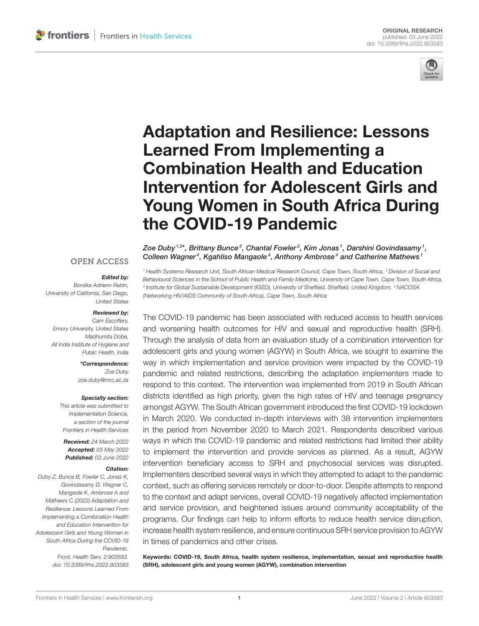

# Adaptation and Resilience: Lessons Learned From Implementing a Combination Health and Education Intervention for Adolescent Girls and [Young Women in South Africa During](https://www.frontiersin.org/articles/10.3389/frhs.2022.903583/full) the COVID-19 Pandemic

#### **OPEN ACCESS**

#### Edited by:

*Borsika Adrienn Rabin, University of California, San Diego, United States*

#### Reviewed by:

*Cam Escoffery, Emory University, United States Madhumita Dobe, All India Institute of Hygiene and Public Health, India*

> \*Correspondence: *Zoe Duby [zoe.duby@mrc.ac.za](mailto:zoe.duby@mrc.ac.za)*

#### Specialty section:

*This article was submitted to Implementation Science, a section of the journal Frontiers in Health Services*

Received: *24 March 2022* Accepted: *03 May 2022* Published: *03 June 2022*

#### Citation:

*Duby Z, Bunce B, Fowler C, Jonas K, Govindasamy D, Wagner C, Mangaole K, Ambrose A and Mathews C (2022) Adaptation and Resilience: Lessons Learned From Implementing a Combination Health and Education Intervention for Adolescent Girls and Young Women in South Africa During the COVID-19 Pandemic.*

*Front. Health Serv. 2:903583. doi: [10.3389/frhs.2022.903583](https://doi.org/10.3389/frhs.2022.903583)* Zoe Duby $^{1,2\star}$ , Brittany Bunce $^3$ , Chantal Fowler $^2$ , Kim Jonas $^1$ , Darshini Govindasamy $^1$ , Colleen Wagner<sup>4</sup>, Kgahliso Mangaole<sup>4</sup>, Anthony Ambrose<sup>4</sup> and Catherine Mathews<sup>1</sup>

*<sup>1</sup> Health Systems Research Unit, South African Medical Research Council, Cape Town, South Africa, <sup>2</sup> Division of Social and Behavioural Sciences in the School of Public Health and Family Medicine, University of Cape Town, Cape Town, South Africa, 3 Institute for Global Sustainable Development (IGSD), University of Sheffield, Sheffield, United Kingdom, <sup>4</sup> NACOSA (Networking HIV/AIDS Community of South Africa), Cape Town, South Africa*

The COVID-19 pandemic has been associated with reduced access to health services and worsening health outcomes for HIV and sexual and reproductive health (SRH). Through the analysis of data from an evaluation study of a combination intervention for adolescent girls and young women (AGYW) in South Africa, we sought to examine the way in which implementation and service provision were impacted by the COVID-19 pandemic and related restrictions, describing the adaptation implementers made to respond to this context. The intervention was implemented from 2019 in South African districts identified as high priority, given the high rates of HIV and teenage pregnancy amongst AGYW. The South African government introduced the first COVID-19 lockdown in March 2020. We conducted in-depth interviews with 38 intervention implementers in the period from November 2020 to March 2021. Respondents described various ways in which the COVID-19 pandemic and related restrictions had limited their ability to implement the intervention and provide services as planned. As a result, AGYW intervention beneficiary access to SRH and psychosocial services was disrupted. Implementers described several ways in which they attempted to adapt to the pandemic context, such as offering services remotely or door-to-door. Despite attempts to respond to the context and adapt services, overall COVID-19 negatively affected implementation and service provision, and heightened issues around community acceptability of the programs. Our findings can help to inform efforts to reduce health service disruption, increase health system resilience, and ensure continuous SRH service provision to AGYW in times of pandemics and other crises.

Keywords: COVID-19, South Africa, health system resilience, implementation, sexual and reproductive health (SRH), adolescent girls and young women (AGYW), combination intervention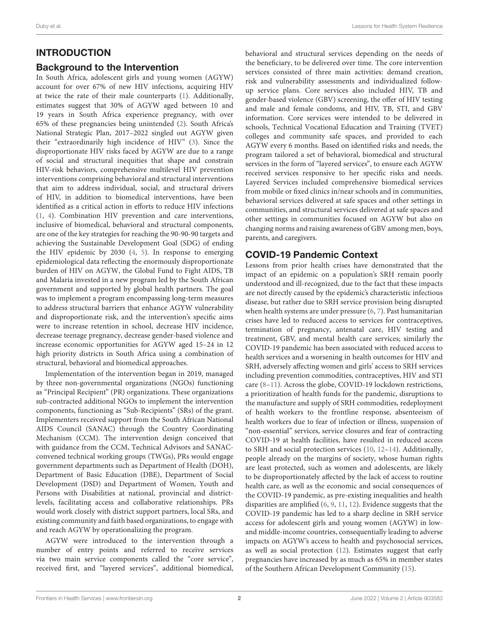#### INTRODUCTION

#### Background to the Intervention

In South Africa, adolescent girls and young women (AGYW) account for over 67% of new HIV infections, acquiring HIV at twice the rate of their male counterparts [\(1\)](#page-13-0). Additionally, estimates suggest that 30% of AGYW aged between 10 and 19 years in South Africa experience pregnancy, with over 65% of these pregnancies being unintended [\(2\)](#page-13-1). South Africa's National Strategic Plan, 2017–2022 singled out AGYW given their "extraordinarily high incidence of HIV" [\(3\)](#page-13-2). Since the disproportionate HIV risks faced by AGYW are due to a range of social and structural inequities that shape and constrain HIV-risk behaviors, comprehensive multilevel HIV prevention interventions comprising behavioral and structural interventions that aim to address individual, social, and structural drivers of HIV, in addition to biomedical interventions, have been identified as a critical action in efforts to reduce HIV infections [\(1,](#page-13-0) [4\)](#page-13-3). Combination HIV prevention and care interventions, inclusive of biomedical, behavioral and structural components, are one of the key strategies for reaching the 90-90-90 targets and achieving the Sustainable Development Goal (SDG) of ending the HIV epidemic by 2030 [\(4,](#page-13-3) [5\)](#page-13-4). In response to emerging epidemiological data reflecting the enormously disproportionate burden of HIV on AGYW, the Global Fund to Fight AIDS, TB and Malaria invested in a new program led by the South African government and supported by global health partners. The goal was to implement a program encompassing long-term measures to address structural barriers that enhance AGYW vulnerability and disproportionate risk, and the intervention's specific aims were to increase retention in school, decrease HIV incidence, decrease teenage pregnancy, decrease gender-based violence and increase economic opportunities for AGYW aged 15–24 in 12 high priority districts in South Africa using a combination of structural, behavioral and biomedical approaches.

Implementation of the intervention began in 2019, managed by three non-governmental organizations (NGOs) functioning as "Principal Recipient" (PR) organizations. These organizations sub-contracted additional NGOs to implement the intervention components, functioning as "Sub-Recipients" (SRs) of the grant. Implementers received support from the South African National AIDS Council (SANAC) through the Country Coordinating Mechanism (CCM). The intervention design conceived that with guidance from the CCM, Technical Advisors and SANACconvened technical working groups (TWGs), PRs would engage government departments such as Department of Health (DOH), Department of Basic Education (DBE), Department of Social Development (DSD) and Department of Women, Youth and Persons with Disabilities at national, provincial and districtlevels, facilitating access and collaborative relationships. PRs would work closely with district support partners, local SRs, and existing community and faith based organizations, to engage with and reach AGYW by operationalizing the program.

AGYW were introduced to the intervention through a number of entry points and referred to receive services via two main service components called the "core service", received first, and "layered services", additional biomedical, behavioral and structural services depending on the needs of the beneficiary, to be delivered over time. The core intervention services consisted of three main activities: demand creation, risk and vulnerability assessments and individualized followup service plans. Core services also included HIV, TB and gender-based violence (GBV) screening, the offer of HIV testing and male and female condoms, and HIV, TB, STI, and GBV information. Core services were intended to be delivered in schools, Technical Vocational Education and Training (TVET) colleges and community safe spaces, and provided to each AGYW every 6 months. Based on identified risks and needs, the program tailored a set of behavioral, biomedical and structural services in the form of "layered services", to ensure each AGYW received services responsive to her specific risks and needs. Layered Services included comprehensive biomedical services from mobile or fixed clinics in/near schools and in communities, behavioral services delivered at safe spaces and other settings in communities, and structural services delivered at safe spaces and other settings in communities focused on AGYW but also on changing norms and raising awareness of GBV among men, boys, parents, and caregivers.

#### COVID-19 Pandemic Context

Lessons from prior health crises have demonstrated that the impact of an epidemic on a population's SRH remain poorly understood and ill-recognized, due to the fact that these impacts are not directly caused by the epidemic's characteristic infectious disease, but rather due to SRH service provision being disrupted when health systems are under pressure [\(6,](#page-13-5) [7\)](#page-13-6). Past humanitarian crises have led to reduced access to services for contraceptives, termination of pregnancy, antenatal care, HIV testing and treatment, GBV, and mental health care services; similarly the COVID-19 pandemic has been associated with reduced access to health services and a worsening in health outcomes for HIV and SRH, adversely affecting women and girls' access to SRH services including prevention commodities, contraceptives, HIV and STI care [\(8](#page-13-7)[–11\)](#page-13-8). Across the globe, COVID-19 lockdown restrictions, a prioritization of health funds for the pandemic, disruptions to the manufacture and supply of SRH commodities, redeployment of health workers to the frontline response, absenteeism of health workers due to fear of infection or illness, suspension of "non-essential" services, service closures and fear of contracting COVID-19 at health facilities, have resulted in reduced access to SRH and social protection services [\(10,](#page-13-9) [12](#page-13-10)[–14\)](#page-13-11). Additionally, people already on the margins of society, whose human rights are least protected, such as women and adolescents, are likely to be disproportionately affected by the lack of access to routine health care, as well as the economic and social consequences of the COVID-19 pandemic, as pre-existing inequalities and health disparities are amplified [\(6,](#page-13-5) [9,](#page-13-12) [11,](#page-13-8) [12\)](#page-13-10). Evidence suggests that the COVID-19 pandemic has led to a sharp decline in SRH service access for adolescent girls and young women (AGYW) in lowand middle-income countries, consequentially leading to adverse impacts on AGYW's access to health and psychosocial services, as well as social protection [\(12\)](#page-13-10). Estimates suggest that early pregnancies have increased by as much as 65% in member states of the Southern African Development Community [\(15\)](#page-13-13).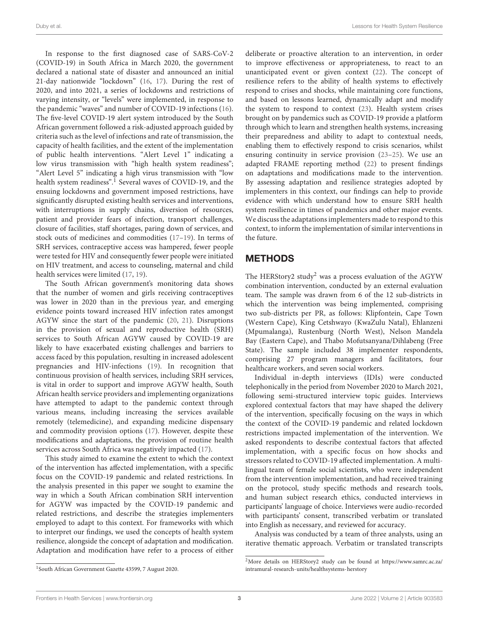In response to the first diagnosed case of SARS-CoV-2 (COVID-19) in South Africa in March 2020, the government declared a national state of disaster and announced an initial 21-day nationwide "lockdown" [\(16,](#page-13-14) [17\)](#page-13-15). During the rest of 2020, and into 2021, a series of lockdowns and restrictions of varying intensity, or "levels" were implemented, in response to the pandemic "waves" and number of COVID-19 infections [\(16\)](#page-13-14). The five-level COVID-19 alert system introduced by the South African government followed a risk-adjusted approach guided by criteria such as the level of infections and rate of transmission, the capacity of health facilities, and the extent of the implementation of public health interventions. "Alert Level 1" indicating a low virus transmission with "high health system readiness"; "Alert Level 5" indicating a high virus transmission with "low health system readiness".<sup>[1](#page-2-0)</sup> Several waves of COVID-19, and the ensuing lockdowns and government imposed restrictions, have significantly disrupted existing health services and interventions, with interruptions in supply chains, diversion of resources, patient and provider fears of infection, transport challenges, closure of facilities, staff shortages, paring down of services, and stock outs of medicines and commodities [\(17](#page-13-15)[–19\)](#page-13-16). In terms of SRH services, contraceptive access was hampered, fewer people were tested for HIV and consequently fewer people were initiated on HIV treatment, and access to counseling, maternal and child health services were limited [\(17,](#page-13-15) [19\)](#page-13-16).

The South African government's monitoring data shows that the number of women and girls receiving contraceptives was lower in 2020 than in the previous year, and emerging evidence points toward increased HIV infection rates amongst AGYW since the start of the pandemic [\(20,](#page-13-17) [21\)](#page-13-18). Disruptions in the provision of sexual and reproductive health (SRH) services to South African AGYW caused by COVID-19 are likely to have exacerbated existing challenges and barriers to access faced by this population, resulting in increased adolescent pregnancies and HIV-infections [\(19\)](#page-13-16). In recognition that continuous provision of health services, including SRH services, is vital in order to support and improve AGYW health, South African health service providers and implementing organizations have attempted to adapt to the pandemic context through various means, including increasing the services available remotely (telemedicine), and expanding medicine dispensary and commodity provision options [\(17\)](#page-13-15). However, despite these modifications and adaptations, the provision of routine health services across South Africa was negatively impacted [\(17\)](#page-13-15).

This study aimed to examine the extent to which the context of the intervention has affected implementation, with a specific focus on the COVID-19 pandemic and related restrictions. In the analysis presented in this paper we sought to examine the way in which a South African combination SRH intervention for AGYW was impacted by the COVID-19 pandemic and related restrictions, and describe the strategies implementers employed to adapt to this context. For frameworks with which to interpret our findings, we used the concepts of health system resilience, alongside the concept of adaptation and modification. Adaptation and modification have refer to a process of either deliberate or proactive alteration to an intervention, in order to improve effectiveness or appropriateness, to react to an unanticipated event or given context [\(22\)](#page-13-19). The concept of resilience refers to the ability of health systems to effectively respond to crises and shocks, while maintaining core functions, and based on lessons learned, dynamically adapt and modify the system to respond to context [\(23\)](#page-13-20). Health system crises brought on by pandemics such as COVID-19 provide a platform through which to learn and strengthen health systems, increasing their preparedness and ability to adapt to contextual needs, enabling them to effectively respond to crisis scenarios, whilst ensuring continuity in service provision [\(23–](#page-13-20)[25\)](#page-13-21). We use an adapted FRAME reporting method [\(22\)](#page-13-19) to present findings on adaptations and modifications made to the intervention. By assessing adaptation and resilience strategies adopted by implementers in this context, our findings can help to provide evidence with which understand how to ensure SRH health system resilience in times of pandemics and other major events. We discuss the adaptations implementers made to respond to this context, to inform the implementation of similar interventions in the future.

#### **METHODS**

The HERStory[2](#page-2-1) study<sup>2</sup> was a process evaluation of the AGYW combination intervention, conducted by an external evaluation team. The sample was drawn from 6 of the 12 sub-districts in which the intervention was being implemented, comprising two sub-districts per PR, as follows: Klipfontein, Cape Town (Western Cape), King Cetshwayo (KwaZulu Natal), Ehlanzeni (Mpumalanga), Rustenburg (North West), Nelson Mandela Bay (Eastern Cape), and Thabo Mofutsanyana/Dihlabeng (Free State). The sample included 38 implementer respondents, comprising 27 program managers and facilitators, four healthcare workers, and seven social workers.

Individual in-depth interviews (IDIs) were conducted telephonically in the period from November 2020 to March 2021, following semi-structured interview topic guides. Interviews explored contextual factors that may have shaped the delivery of the intervention, specifically focusing on the ways in which the context of the COVID-19 pandemic and related lockdown restrictions impacted implementation of the intervention. We asked respondents to describe contextual factors that affected implementation, with a specific focus on how shocks and stressors related to COVID-19 affected implementation. A multilingual team of female social scientists, who were independent from the intervention implementation, and had received training on the protocol, study specific methods and research tools, and human subject research ethics, conducted interviews in participants' language of choice. Interviews were audio-recorded with participants' consent, transcribed verbatim or translated into English as necessary, and reviewed for accuracy.

Analysis was conducted by a team of three analysts, using an iterative thematic approach. Verbatim or translated transcripts

<span id="page-2-1"></span><sup>2</sup>More details on HERStory2 study can be found at [https://www.samrc.ac.za/](https://www.samrc.ac.za/intramural-research-units/healthsystems-herstory) [intramural-research-units/healthsystems-herstory](https://www.samrc.ac.za/intramural-research-units/healthsystems-herstory)

<span id="page-2-0"></span><sup>1</sup> South African Government Gazette 43599, 7 August 2020.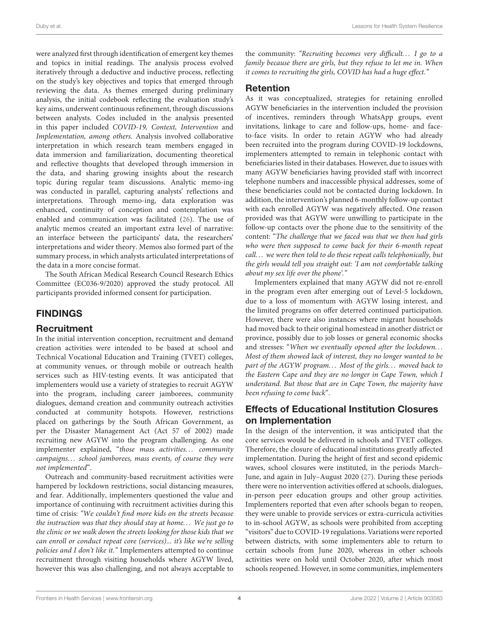were analyzed first through identification of emergent key themes and topics in initial readings. The analysis process evolved iteratively through a deductive and inductive process, reflecting on the study's key objectives and topics that emerged through reviewing the data. As themes emerged during preliminary analysis, the initial codebook reflecting the evaluation study's key aims, underwent continuous refinement, through discussions between analysts. Codes included in the analysis presented in this paper included COVID-19, Context, Intervention and Implementation, among others. Analysis involved collaborative interpretation in which research team members engaged in data immersion and familiarization, documenting theoretical and reflective thoughts that developed through immersion in the data, and sharing growing insights about the research topic during regular team discussions. Analytic memo-ing was conducted in parallel, capturing analysts' reflections and interpretations. Through memo-ing, data exploration was enhanced, continuity of conception and contemplation was enabled and communication was facilitated [\(26\)](#page-13-22). The use of analytic memos created an important extra level of narrative: an interface between the participants' data, the researchers' interpretations and wider theory. Memos also formed part of the summary process, in which analysts articulated interpretations of the data in a more concise format.

The South African Medical Research Council Research Ethics Committee (EC036-9/2020) approved the study protocol. All participants provided informed consent for participation.

#### FINDINGS

#### **Recruitment**

In the initial intervention conception, recruitment and demand creation activities were intended to be based at school and Technical Vocational Education and Training (TVET) colleges, at community venues, or through mobile or outreach health services such as HIV-testing events. It was anticipated that implementers would use a variety of strategies to recruit AGYW into the program, including career jamborees, community dialogues, demand creation and community outreach activities conducted at community hotspots. However, restrictions placed on gatherings by the South African Government, as per the Disaster Management Act (Act 57 of 2002) made recruiting new AGYW into the program challenging. As one implementer explained, "those mass activities... community campaigns. . . school jamborees, mass events, of course they were not implemented".

Outreach and community-based recruitment activities were hampered by lockdown restrictions, social distancing measures, and fear. Additionally, implementers questioned the value and importance of continuing with recruitment activities during this time of crisis: "We couldn't find more kids on the streets because the instruction was that they should stay at home. . . We just go to the clinic or we walk down the streets looking for those kids that we can enroll or conduct repeat core (services)... it's like we're selling policies and I don't like it." Implementers attempted to continue recruitment through visiting households where AGYW lived, however this was also challenging, and not always acceptable to

the community: "Recruiting becomes very difficult... I go to a family because there are girls, but they refuse to let me in. When it comes to recruiting the girls, COVID has had a huge effect."

#### Retention

As it was conceptualized, strategies for retaining enrolled AGYW beneficiaries in the intervention included the provision of incentives, reminders through WhatsApp groups, event invitations, linkage to care and follow-ups, home- and faceto-face visits. In order to retain AGYW who had already been recruited into the program during COVID-19 lockdowns, implementers attempted to remain in telephonic contact with beneficiaries listed in their databases. However, due to issues with many AGYW beneficiaries having provided staff with incorrect telephone numbers and inaccessible physical addresses, some of these beneficiaries could not be contacted during lockdown. In addition, the intervention's planned 6-monthly follow-up contact with each enrolled AGYW was negatively affected. One reason provided was that AGYW were unwilling to participate in the follow-up contacts over the phone due to the sensitivity of the content: "The challenge that we faced was that we then had girls who were then supposed to come back for their 6-month repeat call... we were then told to do these repeat calls telephonically, but the girls would tell you straight out: 'I am not comfortable talking about my sex life over the phone'."

Implementers explained that many AGYW did not re-enroll in the program even after emerging out of Level-5 lockdown, due to a loss of momentum with AGYW losing interest, and the limited programs on offer deterred continued participation. However, there were also instances where migrant households had moved back to their original homestead in another district or province, possibly due to job losses or general economic shocks and stresses: "When we eventually opened after the lockdown. . . Most of them showed lack of interest, they no longer wanted to be part of the AGYW program... Most of the girls... moved back to the Eastern Cape and they are no longer in Cape Town, which I understand. But those that are in Cape Town, the majority have been refusing to come back".

#### Effects of Educational Institution Closures on Implementation

In the design of the intervention, it was anticipated that the core services would be delivered in schools and TVET colleges. Therefore, the closure of educational institutions greatly affected implementation. During the height of first and second epidemic waves, school closures were instituted, in the periods March– June, and again in July–August 2020 [\(27\)](#page-13-23). During these periods there were no intervention activities offered at schools, dialogues, in-person peer education groups and other group activities. Implementers reported that even after schools began to reopen, they were unable to provide services or extra-curricula activities to in-school AGYW, as schools were prohibited from accepting "visitors" due to COVID-19 regulations. Variations were reported between districts, with some implementers able to return to certain schools from June 2020, whereas in other schools activities were on hold until October 2020, after which most schools reopened. However, in some communities, implementers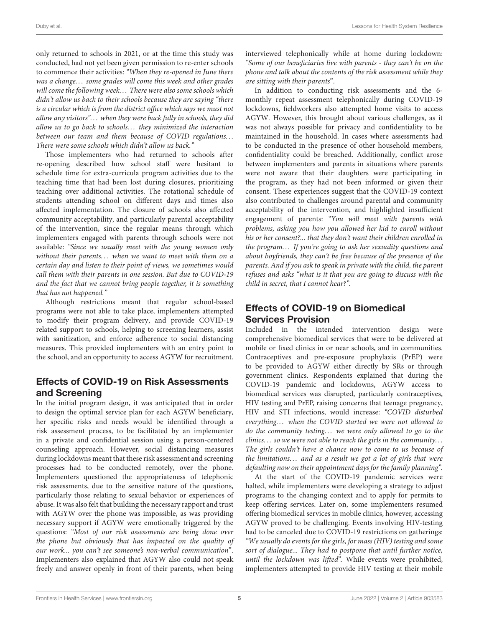only returned to schools in 2021, or at the time this study was conducted, had not yet been given permission to re-enter schools to commence their activities: "When they re-opened in June there was a change... some grades will come this week and other grades will come the following week... There were also some schools which didn't allow us back to their schools because they are saying "there is a circular which is from the district office which says we must not allow any visitors"... when they were back fully in schools, they did allow us to go back to schools... they minimized the interaction between our team and them because of COVID regulations. . . There were some schools which didn't allow us back."

Those implementers who had returned to schools after re-opening described how school staff were hesitant to schedule time for extra-curricula program activities due to the teaching time that had been lost during closures, prioritizing teaching over additional activities. The rotational schedule of students attending school on different days and times also affected implementation. The closure of schools also affected community acceptability, and particularly parental acceptability of the intervention, since the regular means through which implementers engaged with parents through schools were not available: "Since we usually meet with the young women only without their parents... when we want to meet with them on a certain day and listen to their point of views, we sometimes would call them with their parents in one session. But due to COVID-19 and the fact that we cannot bring people together, it is something that has not happened."

Although restrictions meant that regular school-based programs were not able to take place, implementers attempted to modify their program delivery, and provide COVID-19 related support to schools, helping to screening learners, assist with sanitization, and enforce adherence to social distancing measures. This provided implementers with an entry point to the school, and an opportunity to access AGYW for recruitment.

#### Effects of COVID-19 on Risk Assessments and Screening

In the initial program design, it was anticipated that in order to design the optimal service plan for each AGYW beneficiary, her specific risks and needs would be identified through a risk assessment process, to be facilitated by an implementer in a private and confidential session using a person-centered counseling approach. However, social distancing measures during lockdowns meant that these risk assessment and screening processes had to be conducted remotely, over the phone. Implementers questioned the appropriateness of telephonic risk assessments, due to the sensitive nature of the questions, particularly those relating to sexual behavior or experiences of abuse. It was also felt that building the necessary rapport and trust with AGYW over the phone was impossible, as was providing necessary support if AGYW were emotionally triggered by the questions: "Most of our risk assessments are being done over the phone but obviously that has impacted on the quality of our work... you can't see someone's non-verbal communication". Implementers also explained that AGYW also could not speak freely and answer openly in front of their parents, when being interviewed telephonically while at home during lockdown: "Some of our beneficiaries live with parents - they can't be on the phone and talk about the contents of the risk assessment while they are sitting with their parents".

In addition to conducting risk assessments and the 6 monthly repeat assessment telephonically during COVID-19 lockdowns, fieldworkers also attempted home visits to access AGYW. However, this brought about various challenges, as it was not always possible for privacy and confidentiality to be maintained in the household. In cases where assessments had to be conducted in the presence of other household members, confidentiality could be breached. Additionally, conflict arose between implementers and parents in situations where parents were not aware that their daughters were participating in the program, as they had not been informed or given their consent. These experiences suggest that the COVID-19 context also contributed to challenges around parental and community acceptability of the intervention, and highlighted insufficient engagement of parents: "You will meet with parents with problems, asking you how you allowed her kid to enroll without his or her consent?... that they don't want their children enrolled in the program. . . If you're going to ask her sexuality questions and about boyfriends, they can't be free because of the presence of the parents. And if you ask to speak in private with the child, the parent refuses and asks "what is it that you are going to discuss with the child in secret, that I cannot hear?".

#### Effects of COVID-19 on Biomedical Services Provision

Included in the intended intervention design were comprehensive biomedical services that were to be delivered at mobile or fixed clinics in or near schools, and in communities. Contraceptives and pre-exposure prophylaxis (PrEP) were to be provided to AGYW either directly by SRs or through government clinics. Respondents explained that during the COVID-19 pandemic and lockdowns, AGYW access to biomedical services was disrupted, particularly contraceptives, HIV testing and PrEP, raising concerns that teenage pregnancy, HIV and STI infections, would increase: "COVID disturbed everything... when the COVID started we were not allowed to do the community testing... we were only allowed to go to the clinics. . . so we were not able to reach the girls in the community. . . The girls couldn't have a chance now to come to us because of the limitations... and as a result we got a lot of girls that were defaulting now on their appointment days for the family planning".

At the start of the COVID-19 pandemic services were halted, while implementers were developing a strategy to adjust programs to the changing context and to apply for permits to keep offering services. Later on, some implementers resumed offering biomedical services in mobile clinics, however, accessing AGYW proved to be challenging. Events involving HIV-testing had to be canceled due to COVID-19 restrictions on gatherings: "We usually do events for the girls, for mass (HIV) testing and some sort of dialogue... They had to postpone that until further notice, until the lockdown was lifted". While events were prohibited, implementers attempted to provide HIV testing at their mobile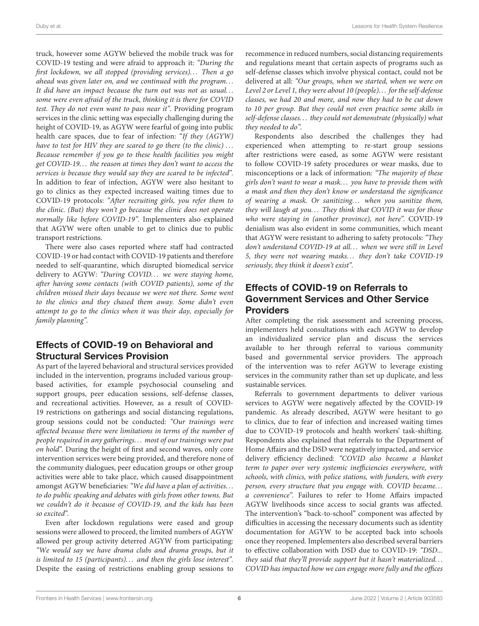truck, however some AGYW believed the mobile truck was for COVID-19 testing and were afraid to approach it: "During the first lockdown, we all stopped (providing services)... Then a go ahead was given later on, and we continued with the program. . . It did have an impact because the turn out was not as usual. . . some were even afraid of the truck, thinking it is there for COVID test. They do not even want to pass near it". Providing program services in the clinic setting was especially challenging during the height of COVID-19, as AGYW were fearful of going into public health care spaces, due to fear of infection: "If they (AGYW) have to test for HIV they are scared to go there (to the clinic)  $\ldots$ Because remember if you go to these health facilities you might get COVID-19. . . the reason at times they don't want to access the services is because they would say they are scared to be infected". In addition to fear of infection, AGYW were also hesitant to go to clinics as they expected increased waiting times due to COVID-19 protocols: "After recruiting girls, you refer them to the clinic. (But) they won't go because the clinic does not operate normally like before COVID-19". Implementers also explained that AGYW were often unable to get to clinics due to public transport restrictions.

There were also cases reported where staff had contracted COVID-19 or had contact with COVID-19 patients and therefore needed to self-quarantine, which disrupted biomedical service delivery to AGYW: "During COVID... we were staying home, after having some contacts (with COVID patients), some of the children missed their days because we were not there. Some went to the clinics and they chased them away. Some didn't even attempt to go to the clinics when it was their day, especially for family planning".

#### Effects of COVID-19 on Behavioral and Structural Services Provision

As part of the layered behavioral and structural services provided included in the intervention, programs included various groupbased activities, for example psychosocial counseling and support groups, peer education sessions, self-defense classes, and recreational activities. However, as a result of COVID-19 restrictions on gatherings and social distancing regulations, group sessions could not be conducted: "Our trainings were affected because there were limitations in terms of the number of people required in any gatherings. . . most of our trainings were put on hold". During the height of first and second waves, only core intervention services were being provided, and therefore none of the community dialogues, peer education groups or other group activities were able to take place, which caused disappointment amongst AGYW beneficiaries: "We did have a plan of activities. . . to do public speaking and debates with girls from other towns. But we couldn't do it because of COVID-19, and the kids has been so excited".

Even after lockdown regulations were eased and group sessions were allowed to proceed, the limited numbers of AGYW allowed per group activity deterred AGYW from participating: "We would say we have drama clubs and drama groups, but it is limited to 15 (participants)... and then the girls lose interest". Despite the easing of restrictions enabling group sessions to recommence in reduced numbers, social distancing requirements and regulations meant that certain aspects of programs such as self-defense classes which involve physical contact, could not be delivered at all: "Our groups, when we started, when we were on Level 2 or Level 1, they were about 10 (people). . . for the self-defense classes, we had 20 and more, and now they had to be cut down to 10 per group. But they could not even practice some skills in self-defense classes. . . they could not demonstrate (physically) what they needed to do".

Respondents also described the challenges they had experienced when attempting to re-start group sessions after restrictions were eased, as some AGYW were resistant to follow COVID-19 safety procedures or wear masks, due to misconceptions or a lack of information: "The majority of these girls don't want to wear a mask. . . you have to provide them with a mask and then they don't know or understand the significance of wearing a mask. Or sanitizing... when you sanitize them, they will laugh at you... They think that COVID it was for those who were staying in (another province), not here". COVID-19 denialism was also evident in some communities, which meant that AGYW were resistant to adhering to safety protocols: "They don't understand COVID-19 at all... when we were still in Level 5, they were not wearing masks... they don't take COVID-19 seriously, they think it doesn't exist".

#### Effects of COVID-19 on Referrals to Government Services and Other Service Providers

After completing the risk assessment and screening process, implementers held consultations with each AGYW to develop an individualized service plan and discuss the services available to her through referral to various community based and governmental service providers. The approach of the intervention was to refer AGYW to leverage existing services in the community rather than set up duplicate, and less sustainable services.

Referrals to government departments to deliver various services to AGYW were negatively affected by the COVID-19 pandemic. As already described, AGYW were hesitant to go to clinics, due to fear of infection and increased waiting times due to COVID-19 protocols and health workers' task-shifting. Respondents also explained that referrals to the Department of Home Affairs and the DSD were negatively impacted, and service delivery efficiency declined: "COVID also became a blanket term to paper over very systemic inefficiencies everywhere, with schools, with clinics, with police stations, with funders, with every person, every structure that you engage with. COVID became. . . a convenience". Failures to refer to Home Affairs impacted AGYW livelihoods since access to social grants was affected. The intervention's "back-to-school" component was affected by difficulties in accessing the necessary documents such as identity documentation for AGYW to be accepted back into schools once they reopened. Implementers also described several barriers to effective collaboration with DSD due to COVID-19: "DSD... they said that they'll provide support but it hasn't materialized. . . COVID has impacted how we can engage more fully and the offices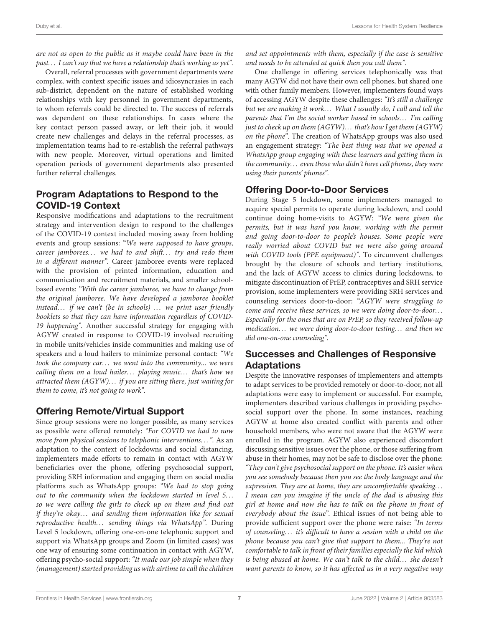are not as open to the public as it maybe could have been in the past. . . I can't say that we have a relationship that's working as yet".

Overall, referral processes with government departments were complex, with context specific issues and idiosyncrasies in each sub-district, dependent on the nature of established working relationships with key personnel in government departments, to whom referrals could be directed to. The success of referrals was dependent on these relationships. In cases where the key contact person passed away, or left their job, it would create new challenges and delays in the referral processes, as implementation teams had to re-establish the referral pathways with new people. Moreover, virtual operations and limited operation periods of government departments also presented further referral challenges.

#### Program Adaptations to Respond to the COVID-19 Context

Responsive modifications and adaptations to the recruitment strategy and intervention design to respond to the challenges of the COVID-19 context included moving away from holding events and group sessions: "We were supposed to have groups, career jamborees... we had to and shift... try and redo them in a different manner". Career jamboree events were replaced with the provision of printed information, education and communication and recruitment materials, and smaller schoolbased events: "With the career jamboree, we have to change from the original jamboree. We have developed a jamboree booklet instead... if we can't (be in schools)  $\ldots$  we print user friendly booklets so that they can have information regardless of COVID-19 happening". Another successful strategy for engaging with AGYW created in response to COVID-19 involved recruiting in mobile units/vehicles inside communities and making use of speakers and a loud hailers to minimize personal contact: "We took the company car... we went into the community... we were calling them on a loud hailer... playing music... that's how we attracted them (AGYW). . . if you are sitting there, just waiting for them to come, it's not going to work".

#### Offering Remote/Virtual Support

Since group sessions were no longer possible, as many services as possible were offered remotely: "For COVID we had to now move from physical sessions to telephonic interventions...". As an adaptation to the context of lockdowns and social distancing, implementers made efforts to remain in contact with AGYW beneficiaries over the phone, offering psychosocial support, providing SRH information and engaging them on social media platforms such as WhatsApp groups: "We had to stop going out to the community when the lockdown started in level 5... so we were calling the girls to check up on them and find out if they're okay... and sending them information like for sexual reproductive health... sending things via WhatsApp". During Level 5 lockdown, offering one-on-one telephonic support and support via WhatsApp groups and Zoom (in limited cases) was one way of ensuring some continuation in contact with AGYW, offering psycho-social support: "It made our job simple when they (management) started providing us with airtime to call the children and set appointments with them, especially if the case is sensitive and needs to be attended at quick then you call them".

One challenge in offering services telephonically was that many AGYW did not have their own cell phones, but shared one with other family members. However, implementers found ways of accessing AGYW despite these challenges: "It's still a challenge but we are making it work... What I usually do, I call and tell the parents that I'm the social worker based in schools... I'm calling just to check up on them (AGYW)... that's how I get them (AGYW) on the phone". The creation of WhatsApp groups was also used an engagement strategy: "The best thing was that we opened a WhatsApp group engaging with these learners and getting them in the community. . . even those who didn't have cell phones, they were using their parents' phones".

#### Offering Door-to-Door Services

During Stage 5 lockdown, some implementers managed to acquire special permits to operate during lockdown, and could continue doing home-visits to AGYW: "We were given the permits, but it was hard you know, working with the permit and going door-to-door to people's houses. Some people were really worried about COVID but we were also going around with COVID tools (PPE equipment)". To circumvent challenges brought by the closure of schools and tertiary institutions, and the lack of AGYW access to clinics during lockdowns, to mitigate discontinuation of PrEP, contraceptives and SRH service provision, some implementers were providing SRH services and counseling services door-to-door: "AGYW were struggling to come and receive these services, so we were doing door-to-door. . . Especially for the ones that are on PrEP, so they received follow-up medication... we were doing door-to-door testing... and then we did one-on-one counseling".

# Successes and Challenges of Responsive Adaptations

Despite the innovative responses of implementers and attempts to adapt services to be provided remotely or door-to-door, not all adaptations were easy to implement or successful. For example, implementers described various challenges in providing psychosocial support over the phone. In some instances, reaching AGYW at home also created conflict with parents and other household members, who were not aware that the AGYW were enrolled in the program. AGYW also experienced discomfort discussing sensitive issues over the phone, or those suffering from abuse in their homes, may not be safe to disclose over the phone: "They can't give psychosocial support on the phone. It's easier when you see somebody because then you see the body language and the expression. They are at home, they are uncomfortable speaking. . . I mean can you imagine if the uncle of the dad is abusing this girl at home and now she has to talk on the phone in front of everybody about the issue". Ethical issues of not being able to provide sufficient support over the phone were raise: "In terms of counseling. . . it's difficult to have a session with a child on the phone because you can't give that support to them... They're not comfortable to talk in front of their families especially the kid which is being abused at home. We can't talk to the child... she doesn't want parents to know, so it has affected us in a very negative way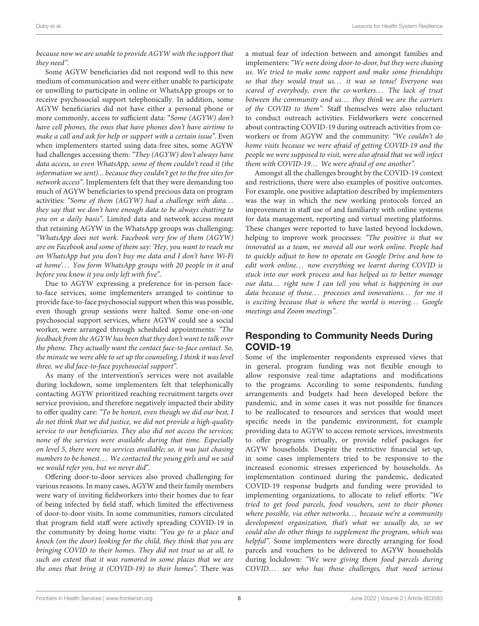#### because now we are unable to provide AGYW with the support that they need".

Some AGYW beneficiaries did not respond well to this new medium of communication and were either unable to participate or unwilling to participate in online or WhatsApp groups or to receive psychosocial support telephonically. In addition, some AGYW beneficiaries did not have either a personal phone or more commonly, access to sufficient data: "Some (AGYW) don't have cell phones, the ones that have phones don't have airtime to make a call and ask for help or support with a certain issue". Even when implementers started using data-free sites, some AGYW had challenges accessing them: "They (AGYW) don't always have data access, so even WhatsApp, some of them couldn't read it (the information we sent)... because they couldn't get to the free sites for network access". Implementers felt that they were demanding too much of AGYW beneficiaries to spend precious data on program activities: "Some of them (AGYW) had a challenge with data. . . they say that we don't have enough data to be always chatting to you on a daily basis". Limited data and network access meant that retaining AGYW in the WhatsApp groups was challenging: "WhatsApp does not work. Facebook very few of them (AGYW) are on Facebook and some of them say: 'Hey, you want to reach me on WhatsApp but you don't buy me data and I don't have Wi-Fi at home'... You form WhatsApp groups with 20 people in it and before you know it you only left with five".

Due to AGYW expressing a preference for in-person faceto-face services, some implementers arranged to continue to provide face-to-face psychosocial support when this was possible, even though group sessions were halted. Some one-on-one psychosocial support services, where AGYW could see a social worker, were arranged through scheduled appointments: "The feedback from the AGYW has been that they don't want to talk over the phone. They actually want the contact face-to-face contact. So, the minute we were able to set up the counseling, I think it was level three, we did face-to-face psychosocial support".

As many of the intervention's services were not available during lockdown, some implementers felt that telephonically contacting AGYW prioritized reaching recruitment targets over service provision, and therefore negatively impacted their ability to offer quality care: "To be honest, even though we did our best, I do not think that we did justice, we did not provide a high-quality service to our beneficiaries. They also did not access the services; none of the services were available during that time. Especially on level 5, there were no services available; so, it was just chasing numbers to be honest... We contacted the young girls and we said we would refer you, but we never did".

Offering door-to-door services also proved challenging for various reasons. In many cases, AGYW and their family members were wary of inviting fieldworkers into their homes due to fear of being infected by field staff, which limited the effectiveness of door-to-door visits. In some communities, rumors circulated that program field staff were actively spreading COVID-19 in the community by doing home visits: "You go to a place and knock (on the door) looking for the child, they think that you are bringing COVID to their homes. They did not trust us at all, to such an extent that it was rumored in some places that we are the ones that bring it (COVID-19) to their homes". There was a mutual fear of infection between and amongst families and implementers:"We were doing door-to-door, but they were chasing us. We tried to make some rapport and make some friendships so that they would trust us... it was so tense! Everyone was scared of everybody, even the co-workers... The lack of trust between the community and us... they think we are the carriers of the COVID to them". Staff themselves were also reluctant to conduct outreach activities. Fieldworkers were concerned about contracting COVID-19 during outreach activities from coworkers or from AGYW and the community: "We couldn't do home visits because we were afraid of getting COVID-19 and the people we were supposed to visit, were also afraid that we will infect them with COVID-19... We were afraid of one another".

Amongst all the challenges brought by the COVID-19 context and restrictions, there were also examples of positive outcomes. For example, one positive adaptation described by implementers was the way in which the new working protocols forced an improvement in staff use of and familiarity with online systems for data management, reporting and virtual meeting platforms. These changes were reported to have lasted beyond lockdown, helping to improve work processes: "The positive is that we innovated as a team, we moved all our work online. People had to quickly adjust to how to operate on Google Drive and how to edit work online... now everything we learnt during COVID is stuck into our work process and has helped us to better manage our data... right now I can tell you what is happening in our data because of those... processes and innovations... for me it is exciting because that is where the world is moving... Google meetings and Zoom meetings".

#### Responding to Community Needs During COVID-19

Some of the implementer respondents expressed views that in general, program funding was not flexible enough to allow responsive real-time adaptations and modifications to the programs. According to some respondents, funding arrangements and budgets had been developed before the pandemic, and in some cases it was not possible for finances to be reallocated to resources and services that would meet specific needs in the pandemic environment, for example providing data to AGYW to access remote services, investments to offer programs virtually, or provide relief packages for AGYW households. Despite the restrictive financial set-up, in some cases implementers tried to be responsive to the increased economic stresses experienced by households. As implementation continued during the pandemic, dedicated COVID-19 response budgets and funding were provided to implementing organizations, to allocate to relief efforts: "We tried to get food parcels, food vouchers, sent to their phones where possible, via other networks... because we're a community development organization, that's what we usually do, so we could also do other things to supplement the program, which was helpful". Some implementers were directly arranging for food parcels and vouchers to be delivered to AGYW households during lockdown: "We were giving them food parcels during COVID... see who has those challenges, that need serious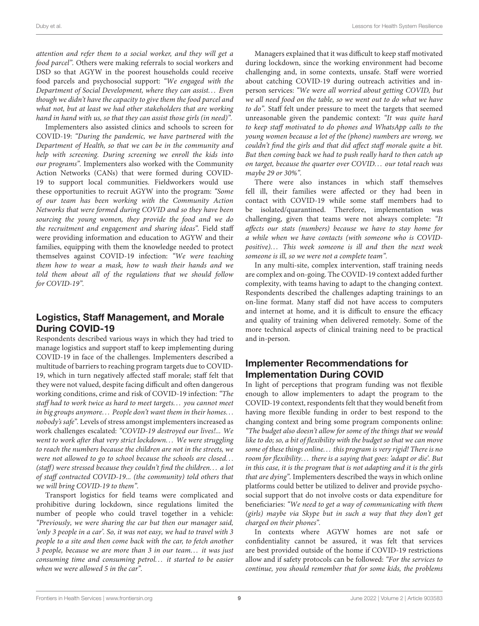attention and refer them to a social worker, and they will get a food parcel". Others were making referrals to social workers and DSD so that AGYW in the poorest households could receive food parcels and psychosocial support: "We engaged with the Department of Social Development, where they can assist. . . Even though we didn't have the capacity to give them the food parcel and what not, but at least we had other stakeholders that are working hand in hand with us, so that they can assist those girls (in need)".

Implementers also assisted clinics and schools to screen for COVID-19: "During the pandemic, we have partnered with the Department of Health, so that we can be in the community and help with screening. During screening we enroll the kids into our programs". Implementers also worked with the Community Action Networks (CANs) that were formed during COVID-19 to support local communities. Fieldworkers would use these opportunities to recruit AGYW into the program: "Some of our team has been working with the Community Action Networks that were formed during COVID and so they have been sourcing the young women, they provide the food and we do the recruitment and engagement and sharing ideas". Field staff were providing information and education to AGYW and their families, equipping with them the knowledge needed to protect themselves against COVID-19 infection: "We were teaching them how to wear a mask, how to wash their hands and we told them about all of the regulations that we should follow for COVID-19".

#### Logistics, Staff Management, and Morale During COVID-19

Respondents described various ways in which they had tried to manage logistics and support staff to keep implementing during COVID-19 in face of the challenges. Implementers described a multitude of barriers to reaching program targets due to COVID-19, which in turn negatively affected staff morale; staff felt that they were not valued, despite facing difficult and often dangerous working conditions, crime and risk of COVID-19 infection: "The staff had to work twice as hard to meet targets. . . you cannot meet in big groups anymore... People don't want them in their homes... nobody's safe". Levels of stress amongst implementers increased as work challenges escalated: "COVID-19 destroyed our lives!... We went to work after that very strict lockdown... We were struggling to reach the numbers because the children are not in the streets, we were not allowed to go to school because the schools are closed... (staff) were stressed because they couldn't find the children. . . a lot of staff contracted COVID-19... (the community) told others that we will bring COVID-19 to them".

Transport logistics for field teams were complicated and prohibitive during lockdown, since regulations limited the number of people who could travel together in a vehicle: "Previously, we were sharing the car but then our manager said, 'only 3 people in a car'. So, it was not easy, we had to travel with 3 people to a site and then come back with the car, to fetch another 3 people, because we are more than 3 in our team. . . it was just consuming time and consuming petrol... it started to be easier when we were allowed 5 in the car".

Managers explained that it was difficult to keep staff motivated during lockdown, since the working environment had become challenging and, in some contexts, unsafe. Staff were worried about catching COVID-19 during outreach activities and inperson services: "We were all worried about getting COVID, but we all need food on the table, so we went out to do what we have to do". Staff felt under pressure to meet the targets that seemed unreasonable given the pandemic context: "It was quite hard to keep staff motivated to do phones and WhatsApp calls to the young women because a lot of the (phone) numbers are wrong, we couldn't find the girls and that did affect staff morale quite a bit. But then coming back we had to push really hard to then catch up on target, because the quarter over COVID. . . our total reach was maybe 29 or 30%".

There were also instances in which staff themselves fell ill, their families were affected or they had been in contact with COVID-19 while some staff members had to be isolated/quarantined. Therefore, implementation was challenging, given that teams were not always complete: "It affects our stats (numbers) because we have to stay home for a while when we have contacts (with someone who is COVIDpositive)... This week someone is ill and then the next week someone is ill, so we were not a complete team".

In any multi-site, complex intervention, staff training needs are complex and on-going. The COVID-19 context added further complexity, with teams having to adapt to the changing context. Respondents described the challenges adapting trainings to an on-line format. Many staff did not have access to computers and internet at home, and it is difficult to ensure the efficacy and quality of training when delivered remotely. Some of the more technical aspects of clinical training need to be practical and in-person.

#### Implementer Recommendations for Implementation During COVID

In light of perceptions that program funding was not flexible enough to allow implementers to adapt the program to the COVID-19 context, respondents felt that they would benefit from having more flexible funding in order to best respond to the changing context and bring some program components online: "The budget also doesn't allow for some of the things that we would like to do; so, a bit of flexibility with the budget so that we can move some of these things online. . . this program is very rigid! There is no room for flexibility... there is a saying that goes: 'adapt or die'. But in this case, it is the program that is not adapting and it is the girls that are dying". Implementers described the ways in which online platforms could better be utilized to deliver and provide psychosocial support that do not involve costs or data expenditure for beneficiaries: "We need to get a way of communicating with them (girls) maybe via Skype but in such a way that they don't get charged on their phones".

In contexts where AGYW homes are not safe or confidentiality cannot be assured, it was felt that services are best provided outside of the home if COVID-19 restrictions allow and if safety protocols can be followed: "For the services to continue, you should remember that for some kids, the problems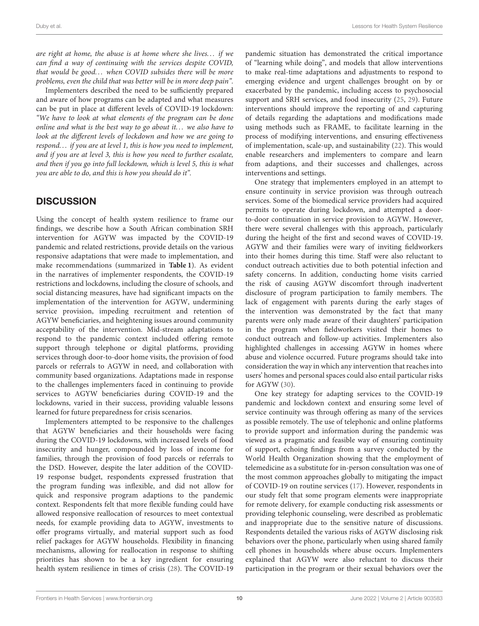are right at home, the abuse is at home where she lives... if we can find a way of continuing with the services despite COVID, that would be good... when COVID subsides there will be more problems, even the child that was better will be in more deep pain".

Implementers described the need to be sufficiently prepared and aware of how programs can be adapted and what measures can be put in place at different levels of COVID-19 lockdown: "We have to look at what elements of the program can be done online and what is the best way to go about it... we also have to look at the different levels of lockdown and how we are going to respond. . . if you are at level 1, this is how you need to implement, and if you are at level 3, this is how you need to further escalate, and then if you go into full lockdown, which is level 5, this is what you are able to do, and this is how you should do it".

#### **DISCUSSION**

Using the concept of health system resilience to frame our findings, we describe how a South African combination SRH intervention for AGYW was impacted by the COVID-19 pandemic and related restrictions, provide details on the various responsive adaptations that were made to implementation, and make recommendations (summarized in **[Table 1](#page-10-0)**). As evident in the narratives of implementer respondents, the COVID-19 restrictions and lockdowns, including the closure of schools, and social distancing measures, have had significant impacts on the implementation of the intervention for AGYW, undermining service provision, impeding recruitment and retention of AGYW beneficiaries, and heightening issues around community acceptability of the intervention. Mid-stream adaptations to respond to the pandemic context included offering remote support through telephone or digital platforms, providing services through door-to-door home visits, the provision of food parcels or referrals to AGYW in need, and collaboration with community based organizations. Adaptations made in response to the challenges implementers faced in continuing to provide services to AGYW beneficiaries during COVID-19 and the lockdowns, varied in their success, providing valuable lessons learned for future preparedness for crisis scenarios.

Implementers attempted to be responsive to the challenges that AGYW beneficiaries and their households were facing during the COVID-19 lockdowns, with increased levels of food insecurity and hunger, compounded by loss of income for families, through the provision of food parcels or referrals to the DSD. However, despite the later addition of the COVID-19 response budget, respondents expressed frustration that the program funding was inflexible, and did not allow for quick and responsive program adaptions to the pandemic context. Respondents felt that more flexible funding could have allowed responsive reallocation of resources to meet contextual needs, for example providing data to AGYW, investments to offer programs virtually, and material support such as food relief packages for AGYW households. Flexibility in financing mechanisms, allowing for reallocation in response to shifting priorities has shown to be a key ingredient for ensuring health system resilience in times of crisis [\(28\)](#page-13-24). The COVID-19 pandemic situation has demonstrated the critical importance of "learning while doing", and models that allow interventions to make real-time adaptations and adjustments to respond to emerging evidence and urgent challenges brought on by or exacerbated by the pandemic, including access to psychosocial support and SRH services, and food insecurity [\(25,](#page-13-21) [29\)](#page-13-25). Future interventions should improve the reporting of and capturing of details regarding the adaptations and modifications made using methods such as FRAME, to facilitate learning in the process of modifying interventions, and ensuring effectiveness of implementation, scale-up, and sustainability [\(22\)](#page-13-19). This would enable researchers and implementers to compare and learn from adaptions, and their successes and challenges, across interventions and settings.

One strategy that implementers employed in an attempt to ensure continuity in service provision was through outreach services. Some of the biomedical service providers had acquired permits to operate during lockdown, and attempted a doorto-door continuation in service provision to AGYW. However, there were several challenges with this approach, particularly during the height of the first and second waves of COVID-19. AGYW and their families were wary of inviting fieldworkers into their homes during this time. Staff were also reluctant to conduct outreach activities due to both potential infection and safety concerns. In addition, conducting home visits carried the risk of causing AGYW discomfort through inadvertent disclosure of program participation to family members. The lack of engagement with parents during the early stages of the intervention was demonstrated by the fact that many parents were only made aware of their daughters' participation in the program when fieldworkers visited their homes to conduct outreach and follow-up activities. Implementers also highlighted challenges in accessing AGYW in homes where abuse and violence occurred. Future programs should take into consideration the way in which any intervention that reaches into users' homes and personal spaces could also entail particular risks for AGYW [\(30\)](#page-13-26).

One key strategy for adapting services to the COVID-19 pandemic and lockdown context and ensuring some level of service continuity was through offering as many of the services as possible remotely. The use of telephonic and online platforms to provide support and information during the pandemic was viewed as a pragmatic and feasible way of ensuring continuity of support, echoing findings from a survey conducted by the World Health Organization showing that the employment of telemedicine as a substitute for in-person consultation was one of the most common approaches globally to mitigating the impact of COVID-19 on routine services [\(17\)](#page-13-15). However, respondents in our study felt that some program elements were inappropriate for remote delivery, for example conducting risk assessments or providing telephonic counseling, were described as problematic and inappropriate due to the sensitive nature of discussions. Respondents detailed the various risks of AGYW disclosing risk behaviors over the phone, particularly when using shared family cell phones in households where abuse occurs. Implementers explained that AGYW were also reluctant to discuss their participation in the program or their sexual behaviors over the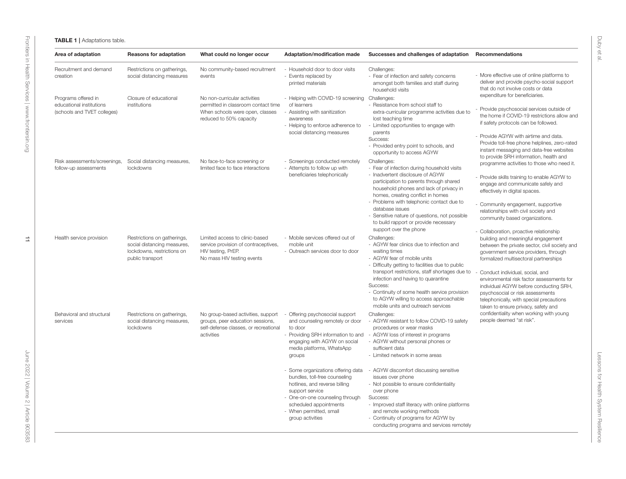<span id="page-10-0"></span>

| Area of adaptation                                                             | <b>Reasons for adaptation</b>                                                                                | What could no longer occur                                                                                                        | Adaptation/modification made                                                                                                                                                                                                        | Successes and challenges of adaptation                                                                                                                                                                                                                                                                                                                                                                      | Recommendations                                                                                                                                                                                                                                                                                                                                                                                                        |
|--------------------------------------------------------------------------------|--------------------------------------------------------------------------------------------------------------|-----------------------------------------------------------------------------------------------------------------------------------|-------------------------------------------------------------------------------------------------------------------------------------------------------------------------------------------------------------------------------------|-------------------------------------------------------------------------------------------------------------------------------------------------------------------------------------------------------------------------------------------------------------------------------------------------------------------------------------------------------------------------------------------------------------|------------------------------------------------------------------------------------------------------------------------------------------------------------------------------------------------------------------------------------------------------------------------------------------------------------------------------------------------------------------------------------------------------------------------|
| Recruitment and demand<br>creation                                             | Restrictions on gatherings,<br>social distancing measures                                                    | No community-based recruitment<br>events                                                                                          | - Household door to door visits<br>- Events replaced by<br>printed materials                                                                                                                                                        | Challenges:<br>- Fear of infection and safety concerns<br>amongst both families and staff during<br>household visits                                                                                                                                                                                                                                                                                        | - More effective use of online platforms to<br>deliver and provide psycho-social support<br>that do not involve costs or data                                                                                                                                                                                                                                                                                          |
| Programs offered in<br>educational institutions<br>(schools and TVET colleges) | Closure of educational<br>institutions                                                                       | No non-curricular activities<br>permitted in classroom contact time<br>When schools were open, classes<br>reduced to 50% capacity | - Helping with COVID-19 screening<br>of learners<br>- Assisting with sanitization<br>awareness<br>- Helping to enforce adherence to<br>social distancing measures                                                                   | Challenges:<br>- Resistance from school staff to<br>extra-curricular programme activities due to<br>lost teaching time<br>- Limited opportunities to engage with<br>parents<br>Success:<br>- Provided entry point to schools, and<br>opportunity to access AGYW                                                                                                                                             | expenditure for beneficiaries.<br>Provide psychosocial services outside of<br>the home if COVID-19 restrictions allow and<br>if safety protocols can be followed.<br>- Provide AGYW with airtime and data.<br>Provide toll-free phone helplines, zero-rated<br>instant messaging and data-free websites                                                                                                                |
| Risk assessments/screenings,<br>follow-up assessments                          | Social distancing measures,<br>lockdowns                                                                     | No face-to-face screening or<br>limited face to face interactions                                                                 | - Screenings conducted remotely<br>- Attempts to follow up with<br>beneficiaries telephonically                                                                                                                                     | Challenges:<br>- Fear of infection during household visits<br>- Inadvertent disclosure of AGYW<br>participation to parents through shared<br>household phones and lack of privacy in<br>homes, creating conflict in homes<br>- Problems with telephonic contact due to<br>database issues<br>Sensitive nature of questions, not possible<br>to build rapport or provide necessary<br>support over the phone | to provide SRH information, health and<br>programme activities to those who need it.<br>- Provide skills training to enable AGYW to<br>engage and communicate safely and<br>effectively in digital spaces.<br>- Community engagement, supportive<br>relationships with civil society and<br>community based organizations.<br>- Collaboration, proactive relationship                                                  |
| Health service provision                                                       | Restrictions on gatherings,<br>social distancing measures,<br>lockdowns, restrictions on<br>public transport | Limited access to clinic-based<br>service provision of contraceptives,<br>HIV testing, PrEP.<br>No mass HIV testing events        | - Mobile services offered out of<br>mobile unit<br>- Outreach services door to door                                                                                                                                                 | Challenges:<br>- AGYW fear clinics due to infection and<br>waiting times<br>- AGYW fear of mobile units<br>- Difficulty getting to facilities due to public<br>transport restrictions, staff shortages due to<br>infection and having to quarantine<br>Success:<br>- Continuity of some health service provision<br>to AGYW willing to access approachable<br>mobile units and outreach services            | building and meaningful engagement<br>between the private sector, civil society and<br>government service providers, through<br>formalized multisectoral partnerships<br>Conduct individual, social, and<br>environmental risk factor assessments for<br>individual AGYW before conducting SRH,<br>psychosocial or risk assessments<br>telephonically, with special precautions<br>taken to ensure privacy, safety and |
| Behavioral and structural<br>services                                          | Restrictions on gatherings,<br>social distancing measures,<br>lockdowns                                      | No group-based activities, support<br>groups, peer education sessions,<br>self-defense classes, or recreational<br>activities     | - Offering psychosocial support<br>and counseling remotely or door<br>to door<br>- Providing SRH information to and<br>engaging with AGYW on social<br>media platforms, WhatsApp<br>groups                                          | Challenges:<br>- AGYW resistant to follow COVID-19 safety<br>procedures or wear masks<br>- AGYW loss of interest in programs<br>- AGYW without personal phones or<br>sufficient data<br>- Limited network in some areas                                                                                                                                                                                     | confidentiality when working with young<br>people deemed "at risk".                                                                                                                                                                                                                                                                                                                                                    |
|                                                                                |                                                                                                              |                                                                                                                                   | - Some organizations offering data<br>bundles, toll-free counseling<br>hotlines, and reverse billing<br>support service<br>- One-on-one counseling through<br>scheduled appointments<br>- When permitted, small<br>group activities | - AGYW discomfort discussing sensitive<br>issues over phone<br>- Not possible to ensure confidentiality<br>over phone<br>Success:<br>- Improved staff literacy with online platforms<br>and remote working methods<br>- Continuity of programs for AGYW by<br>conducting programs and services remotely                                                                                                     |                                                                                                                                                                                                                                                                                                                                                                                                                        |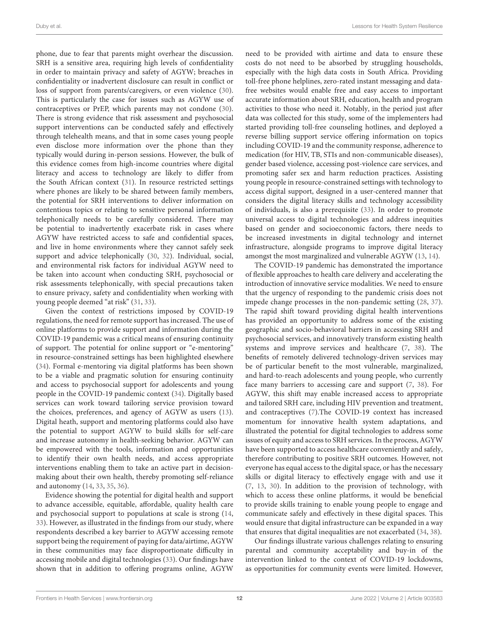phone, due to fear that parents might overhear the discussion. SRH is a sensitive area, requiring high levels of confidentiality in order to maintain privacy and safety of AGYW; breaches in confidentiality or inadvertent disclosure can result in conflict or loss of support from parents/caregivers, or even violence [\(30\)](#page-13-26). This is particularly the case for issues such as AGYW use of contraceptives or PrEP, which parents may not condone [\(30\)](#page-13-26). There is strong evidence that risk assessment and psychosocial support interventions can be conducted safely and effectively through telehealth means, and that in some cases young people even disclose more information over the phone than they typically would during in-person sessions. However, the bulk of this evidence comes from high-income countries where digital literacy and access to technology are likely to differ from the South African context [\(31\)](#page-13-27). In resource restricted settings where phones are likely to be shared between family members, the potential for SRH interventions to deliver information on contentious topics or relating to sensitive personal information telephonically needs to be carefully considered. There may be potential to inadvertently exacerbate risk in cases where AGYW have restricted access to safe and confidential spaces, and live in home environments where they cannot safely seek support and advice telephonically [\(30,](#page-13-26) [32\)](#page-13-28). Individual, social, and environmental risk factors for individual AGYW need to be taken into account when conducting SRH, psychosocial or risk assessments telephonically, with special precautions taken to ensure privacy, safety and confidentiality when working with young people deemed "at risk" [\(31,](#page-13-27) [33\)](#page-13-29).

Given the context of restrictions imposed by COVID-19 regulations, the need for remote support has increased. The use of online platforms to provide support and information during the COVID-19 pandemic was a critical means of ensuring continuity of support. The potential for online support or "e-mentoring" in resource-constrained settings has been highlighted elsewhere [\(34\)](#page-13-30). Formal e-mentoring via digital platforms has been shown to be a viable and pragmatic solution for ensuring continuity and access to psychosocial support for adolescents and young people in the COVID-19 pandemic context [\(34\)](#page-13-30). Digitally based services can work toward tailoring service provision toward the choices, preferences, and agency of AGYW as users [\(13\)](#page-13-31). Digital heath, support and mentoring platforms could also have the potential to support AGYW to build skills for self-care and increase autonomy in health-seeking behavior. AGYW can be empowered with the tools, information and opportunities to identify their own health needs, and access appropriate interventions enabling them to take an active part in decisionmaking about their own health, thereby promoting self-reliance and autonomy [\(14,](#page-13-11) [33,](#page-13-29) [35,](#page-13-32) [36\)](#page-13-33).

Evidence showing the potential for digital health and support to advance accessible, equitable, affordable, quality health care and psychosocial support to populations at scale is strong [\(14,](#page-13-11) [33\)](#page-13-29). However, as illustrated in the findings from our study, where respondents described a key barrier to AGYW accessing remote support being the requirement of paying for data/airtime, AGYW in these communities may face disproportionate difficulty in accessing mobile and digital technologies [\(33\)](#page-13-29). Our findings have shown that in addition to offering programs online, AGYW need to be provided with airtime and data to ensure these costs do not need to be absorbed by struggling households, especially with the high data costs in South Africa. Providing toll-free phone helplines, zero-rated instant messaging and datafree websites would enable free and easy access to important accurate information about SRH, education, health and program activities to those who need it. Notably, in the period just after data was collected for this study, some of the implementers had started providing toll-free counseling hotlines, and deployed a reverse billing support service offering information on topics including COVID-19 and the community response, adherence to medication (for HIV, TB, STIs and non-communicable diseases), gender based violence, accessing post-violence care services, and promoting safer sex and harm reduction practices. Assisting young people in resource-constrained settings with technology to access digital support, designed in a user-centered manner that considers the digital literacy skills and technology accessibility of individuals, is also a prerequisite [\(33\)](#page-13-29). In order to promote universal access to digital technologies and address inequities based on gender and socioeconomic factors, there needs to be increased investments in digital technology and internet infrastructure, alongside programs to improve digital literacy amongst the most marginalized and vulnerable AGYW [\(13,](#page-13-31) [14\)](#page-13-11).

The COVID-19 pandemic has demonstrated the importance of flexible approaches to health care delivery and accelerating the introduction of innovative service modalities. We need to ensure that the urgency of responding to the pandemic crisis does not impede change processes in the non-pandemic setting [\(28,](#page-13-24) [37\)](#page-13-34). The rapid shift toward providing digital health interventions has provided an opportunity to address some of the existing geographic and socio-behavioral barriers in accessing SRH and psychosocial services, and innovatively transform existing health systems and improve services and healthcare [\(7,](#page-13-6) [38\)](#page-14-0). The benefits of remotely delivered technology-driven services may be of particular benefit to the most vulnerable, marginalized, and hard-to-reach adolescents and young people, who currently face many barriers to accessing care and support [\(7,](#page-13-6) [38\)](#page-14-0). For AGYW, this shift may enable increased access to appropriate and tailored SRH care, including HIV prevention and treatment, and contraceptives [\(7\)](#page-13-6).The COVID-19 context has increased momentum for innovative health system adaptations, and illustrated the potential for digital technologies to address some issues of equity and access to SRH services. In the process, AGYW have been supported to access healthcare conveniently and safely, therefore contributing to positive SRH outcomes. However, not everyone has equal access to the digital space, or has the necessary skills or digital literacy to effectively engage with and use it [\(7,](#page-13-6) [13,](#page-13-31) [30\)](#page-13-26). In addition to the provision of technology, with which to access these online platforms, it would be beneficial to provide skills training to enable young people to engage and communicate safely and effectively in these digital spaces. This would ensure that digital infrastructure can be expanded in a way that ensures that digital inequalities are not exacerbated [\(34,](#page-13-30) [38\)](#page-14-0).

Our findings illustrate various challenges relating to ensuring parental and community acceptability and buy-in of the intervention linked to the context of COVID-19 lockdowns, as opportunities for community events were limited. However,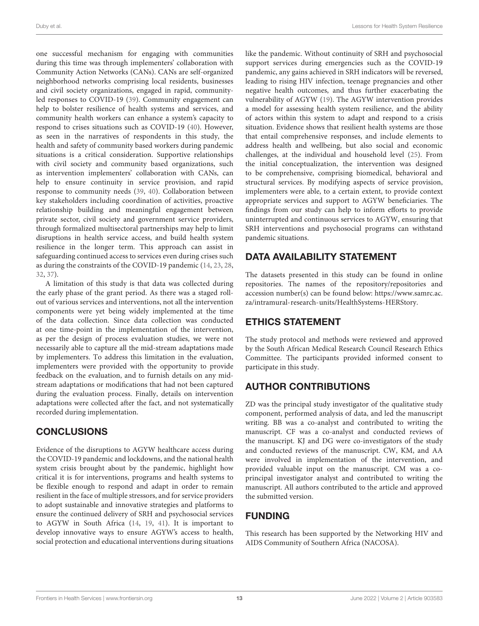one successful mechanism for engaging with communities during this time was through implementers' collaboration with Community Action Networks (CANs). CANs are self-organized neighborhood networks comprising local residents, businesses and civil society organizations, engaged in rapid, communityled responses to COVID-19 [\(39\)](#page-14-1). Community engagement can help to bolster resilience of health systems and services, and community health workers can enhance a system's capacity to respond to crises situations such as COVID-19 [\(40\)](#page-14-2). However, as seen in the narratives of respondents in this study, the health and safety of community based workers during pandemic situations is a critical consideration. Supportive relationships with civil society and community based organizations, such as intervention implementers' collaboration with CANs, can help to ensure continuity in service provision, and rapid response to community needs [\(39,](#page-14-1) [40\)](#page-14-2). Collaboration between key stakeholders including coordination of activities, proactive relationship building and meaningful engagement between private sector, civil society and government service providers, through formalized multisectoral partnerships may help to limit disruptions in health service access, and build health system resilience in the longer term. This approach can assist in safeguarding continued access to services even during crises such as during the constraints of the COVID-19 pandemic [\(14,](#page-13-11) [23,](#page-13-20) [28,](#page-13-24) [32,](#page-13-28) [37\)](#page-13-34).

A limitation of this study is that data was collected during the early phase of the grant period. As there was a staged rollout of various services and interventions, not all the intervention components were yet being widely implemented at the time of the data collection. Since data collection was conducted at one time-point in the implementation of the intervention, as per the design of process evaluation studies, we were not necessarily able to capture all the mid-stream adaptations made by implementers. To address this limitation in the evaluation, implementers were provided with the opportunity to provide feedback on the evaluation, and to furnish details on any midstream adaptations or modifications that had not been captured during the evaluation process. Finally, details on intervention adaptations were collected after the fact, and not systematically recorded during implementation.

# **CONCLUSIONS**

Evidence of the disruptions to AGYW healthcare access during the COVID-19 pandemic and lockdowns, and the national health system crisis brought about by the pandemic, highlight how critical it is for interventions, programs and health systems to be flexible enough to respond and adapt in order to remain resilient in the face of multiple stressors, and for service providers to adopt sustainable and innovative strategies and platforms to ensure the continued delivery of SRH and psychosocial services to AGYW in South Africa [\(14,](#page-13-11) [19,](#page-13-16) [41\)](#page-14-3). It is important to develop innovative ways to ensure AGYW's access to health, social protection and educational interventions during situations like the pandemic. Without continuity of SRH and psychosocial support services during emergencies such as the COVID-19 pandemic, any gains achieved in SRH indicators will be reversed, leading to rising HIV infection, teenage pregnancies and other negative health outcomes, and thus further exacerbating the vulnerability of AGYW [\(19\)](#page-13-16). The AGYW intervention provides a model for assessing health system resilience, and the ability of actors within this system to adapt and respond to a crisis situation. Evidence shows that resilient health systems are those that entail comprehensive responses, and include elements to address health and wellbeing, but also social and economic challenges, at the individual and household level [\(25\)](#page-13-21). From the initial conceptualization, the intervention was designed to be comprehensive, comprising biomedical, behavioral and structural services. By modifying aspects of service provision, implementers were able, to a certain extent, to provide context appropriate services and support to AGYW beneficiaries. The findings from our study can help to inform efforts to provide uninterrupted and continuous services to AGYW, ensuring that SRH interventions and psychosocial programs can withstand pandemic situations.

# DATA AVAILABILITY STATEMENT

The datasets presented in this study can be found in online repositories. The names of the repository/repositories and accession number(s) can be found below: [https://www.samrc.ac.](https://www.samrc.ac.za/intramural-research-units/HealthSystems-HERStory) [za/intramural-research-units/HealthSystems-HERStory.](https://www.samrc.ac.za/intramural-research-units/HealthSystems-HERStory)

# ETHICS STATEMENT

The study protocol and methods were reviewed and approved by the South African Medical Research Council Research Ethics Committee. The participants provided informed consent to participate in this study.

# AUTHOR CONTRIBUTIONS

ZD was the principal study investigator of the qualitative study component, performed analysis of data, and led the manuscript writing. BB was a co-analyst and contributed to writing the manuscript. CF was a co-analyst and conducted reviews of the manuscript. KJ and DG were co-investigators of the study and conducted reviews of the manuscript. CW, KM, and AA were involved in implementation of the intervention, and provided valuable input on the manuscript. CM was a coprincipal investigator analyst and contributed to writing the manuscript. All authors contributed to the article and approved the submitted version.

# FUNDING

This research has been supported by the Networking HIV and AIDS Community of Southern Africa (NACOSA).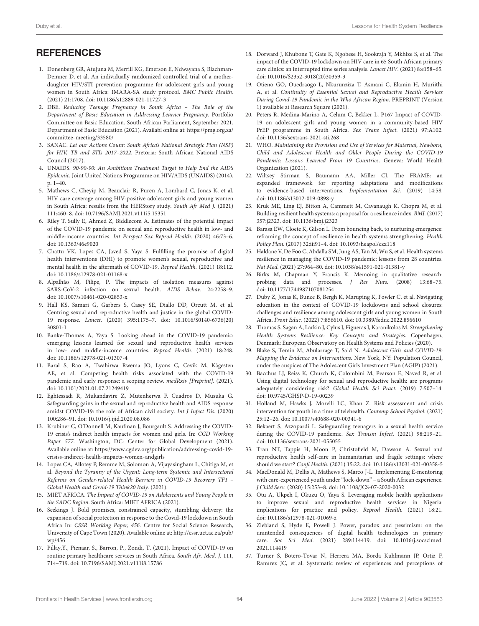#### **REFERENCES**

- <span id="page-13-0"></span>1. Donenberg GR, Atujuna M, Merrill KG, Emerson E, Ndwayana S, Blachman-Demner D, et al. An individually randomized controlled trial of a motherdaughter HIV/STI prevention programme for adolescent girls and young women in South Africa: IMARA-SA study protocol. BMC Public Health. (2021) 21:1708. doi: [10.1186/s12889-021-11727-3](https://doi.org/10.1186/s12889-021-11727-3)
- <span id="page-13-1"></span>2. DBE. Reducing Teenage Pregnancy in South Africa – The Role of the Department of Basic Education in Addressing Learner Pregnancy. Portfolio Committee on Basic Education. South African Parliament, September 2021. Department of Basic Education (2021). Availabl online at: [https://pmg.org.za/](https://pmg.org.za/committee-meeting/33580/) [committee-meeting/33580/](https://pmg.org.za/committee-meeting/33580/)
- <span id="page-13-2"></span>3. SANAC. Let our Actions Count: South Africa's National Strategic Plan (NSP) for HIV, TB and STIs 2017–2022. Pretoria: South African National AIDS Council (2017).
- <span id="page-13-3"></span>4. UNAIDS. 90-90-90: An Ambitious Treatment Target to Help End the AIDS Epidemic. Joint United Nations Programme on HIV/AIDS (UNAIDS) (2014). p. 1–40.
- <span id="page-13-4"></span>5. Mathews C, Cheyip M, Beauclair R, Puren A, Lombard C, Jonas K, et al. HIV care coverage among HIV-positive adolescent girls and young women in South Africa: results from the HERStory study. South Afr Med J. (2021) 111:460–8. doi: [10.7196/SAMJ.2021.v111i5.15351](https://doi.org/10.7196/SAMJ.2021.v111i5.15351)
- <span id="page-13-5"></span>6. Riley T, Sully E, Ahmed Z, Biddlecom A. Estimates of the potential impact of the COVID-19 pandemic on sexual and reproductive health in low- and middle-income countries. Int Perspect Sex Reprod Health. (2020) 46:73–6. doi: [10.1363/46e9020](https://doi.org/10.1363/46e9020)
- <span id="page-13-6"></span>7. Chattu VK, Lopes CA, Javed S, Yaya S. Fulfilling the promise of digital health interventions (DHI) to promote women's sexual, reproductive and mental health in the aftermath of COVID-19. Reprod Health. (2021) 18:112. doi: [10.1186/s12978-021-01168-x](https://doi.org/10.1186/s12978-021-01168-x)
- <span id="page-13-7"></span>8. Alpalhão M, Filipe, P. The impacts of isolation measures against SARS-CoV-2 infection on sexual health. AIDS Behav. 24:2258–9. doi: [10.1007/s10461-020-02853-x](https://doi.org/10.1007/s10461-020-02853-x)
- <span id="page-13-12"></span>9. Hall KS, Samari G, Garbers S, Casey SE, Diallo DD, Orcutt M, et al. Centring sexual and reproductive health and justice in the global COVID-19 response. Lancet. [\(2020\) 395:1175–7. doi: 10.1016/S0140-6736\(20\)](https://doi.org/10.1016/S0140-6736(20)30801-1) 30801-1
- <span id="page-13-9"></span>10. Banke-Thomas A, Yaya S. Looking ahead in the COVID-19 pandemic: emerging lessons learned for sexual and reproductive health services in low- and middle-income countries. Reprod Health. (2021) 18:248. doi: [10.1186/s12978-021-01307-4](https://doi.org/10.1186/s12978-021-01307-4)
- <span id="page-13-8"></span>11. Baral S, Rao A, Twahirwa Rwema JO, Lyons C, Cevik M, Kågesten AE, et al. Competing health risks associated with the COVID-19 pandemic and early response: a scoping review. medRxiv [Preprint]. (2021). doi: [10.1101/2021.01.07.21249419](https://doi.org/10.1101/2021.01.07.21249419)
- <span id="page-13-10"></span>12. Eghtessadi R, Mukandavire Z, Mutenherwa F, Cuadros D, Musuka G. Safeguarding gains in the sexual and reproductive health and AIDS response amidst COVID-19: the role of African civil society. Int J Infect Dis. (2020) 100:286–91. doi: [10.1016/j.ijid.2020.08.086](https://doi.org/10.1016/j.ijid.2020.08.086)
- <span id="page-13-31"></span>13. Krubiner C, O'Donnell M, Kaufman J, Bourgault S. Addressing the COVID-19 crisis's indirect health impacts for women and girls. In: CGD Working Paper 577. Washington, DC: Center for Global Development (2021). Available online at: [https://www.cgdev.org/publication/addressing-covid-19](https://www.cgdev.org/publication/addressing-covid-19-crisiss-indirect-health-impacts-women-andgirls) [crisiss-indirect-health-impacts-women-andgirls](https://www.cgdev.org/publication/addressing-covid-19-crisiss-indirect-health-impacts-women-andgirls)
- <span id="page-13-11"></span>14. Lopes CA, Allotey P, Remme M, Solomon A, Vijayasingham L, Chitiga M, et al. Beyond the Tyranny of the Urgent: Long-term Systemic and Intersectoral Reforms on Gender-related Health Barriers in COVID-19 Recovery TF1 – Global Health and Covid-19 Think20 Italy. (2021).
- <span id="page-13-13"></span>15. MIET AFRICA. The Impact of COVID-19 on Adolescents and Young People in the SADC Region. South Africa: MIET AFRICA (2021).
- <span id="page-13-14"></span>16. Seekings J. Bold promises, constrained capacity, stumbling delivery: the expansion of social protection in response to the Covid-19 lockdown in South Africa In: CSSR Working Paper, 456. Centre for Social Science Research, University of Cape Town (2020). Available online at: [http://cssr.uct.ac.za/pub/](http://cssr.uct.ac.za/pub/wp/456) [wp/456](http://cssr.uct.ac.za/pub/wp/456)
- <span id="page-13-15"></span>17. Pillay,Y., Pienaar, S., Barron, P., Zondi, T. (2021). Impact of COVID-19 on routine primary healthcare services in South Africa. South Afr. Med. J. 111, 714–719. doi: [10.7196/SAMJ.2021.v111i8.15786](https://doi.org/10.7196/SAMJ.2021.v111i8.15786)
- 18. Dorward J, Khubone T, Gate K, Ngobese H, Sookrajh Y, Mkhize S, et al. The impact of the COVID-19 lockdown on HIV care in 65 South African primary care clinics: an interrupted time series analysis. Lancet HIV. (2021) 8:e158–65. doi: [10.1016/S2352-3018\(20\)30359-3](https://doi.org/10.1016/S2352-3018(20)30359-3)
- <span id="page-13-16"></span>19. Otieno GO, Ouedraogo L, Nkurunziza T, Asmani C, Elamin H, Muriithi A, et al. Continuity of Essential Sexual and Reproductive Health Services During Covid-19 Pandemic in the Who African Region. PREPRINT (Version 1) available at Research Square (2021).
- <span id="page-13-17"></span>20. Peters R, Medina-Marino A, Celum C, Bekker L. P167 Impact of COVID-19 on adolescent girls and young women in a community-based HIV PrEP programme in South Africa. Sex Trans Infect. (2021) 97:A102. doi: [10.1136/sextrans-2021-sti.268](https://doi.org/10.1136/sextrans-2021-sti.268)
- <span id="page-13-18"></span>21. WHO. Maintaining the Provision and Use of Services for Maternal, Newborn, Child and Adolescent Health and Older People During the COVID-19 Pandemic: Lessons Learned From 19 Countries. Geneva: World Health Organization (2021).
- <span id="page-13-19"></span>22. Wiltsey Stirman S, Baumann AA, Miller CJ. The FRAME: an expanded framework for reporting adaptations and modifications to evidence-based interventions. Implementation Sci. (2019) 14:58. doi: [10.1186/s13012-019-0898-y](https://doi.org/10.1186/s13012-019-0898-y)
- <span id="page-13-20"></span>23. Kruk ME, Ling EJ, Bitton A, Cammett M, Cavanaugh K, Chopra M, et al. Building resilient health systems: a proposal for a resilience index. BMJ. (2017) 357:j2323. doi: [10.1136/bmj.j2323](https://doi.org/10.1136/bmj.j2323)
- 24. Barasa EW, Cloete K, Gilson L. From bouncing back, to nurturing emergence: reframing the concept of resilience in health systems strengthening. Health Policy Plan. (2017) 32:iii91–4. doi: [10.1093/heapol/czx118](https://doi.org/10.1093/heapol/czx118)
- <span id="page-13-21"></span>25. Haldane V, De Foo C, Abdalla SM, Jung AS, Tan M, Wu S, et al. Health systems resilience in managing the COVID-19 pandemic: lessons from 28 countries. Nat Med. (2021) 27:964–80. doi: [10.1038/s41591-021-01381-y](https://doi.org/10.1038/s41591-021-01381-y)
- <span id="page-13-22"></span>26. Birks M, Chapman Y, Francis K. Memoing in qualitative research: probing data and processes. J Res Nurs. (2008) 13:68–75. doi: [10.1177/1744987107081254](https://doi.org/10.1177/1744987107081254)
- <span id="page-13-23"></span>27. Duby Z, Jonas K, Bunce B, Bergh K, Maruping K, Fowler C, et al. Navigating education in the context of COVID-19 lockdowns and school closures: challenges and resilience among adolescent girls and young women in South Africa. Front Educ. (2022) 7:856610. doi: [10.3389/feduc.2022.856610](https://doi.org/10.3389/feduc.2022.856610)
- <span id="page-13-24"></span>28. Thomas S, Sagan A, Larkin J, Cylus J, Figueras J, Karanikolos M. Strengthening Health Systems Resilience: Key Concepts and Strategies. Copenhagen, Denmark: European Observatory on Health Systems and Policies (2020).
- <span id="page-13-25"></span>29. Blake S, Temin M, Abularrage T, Said N. Adolescent Girls and COVID-19: Mapping the Evidence on Interventions. New York, NY: Population Council, under the auspices of The Adolescent Girls Investment Plan (AGIP) (2021).
- <span id="page-13-26"></span>30. Bacchus LJ, Reiss K, Church K, Colombini M, Pearson E, Naved R, et al. Using digital technology for sexual and reproductive health: are programs adequately considering risk? Global Health Sci Pract. (2019) 7:507–14. doi: [10.9745/GHSP-D-19-00239](https://doi.org/10.9745/GHSP-D-19-00239)
- <span id="page-13-27"></span>31. Holland M, Hawks J, Morelli LC, Khan Z. Risk assessment and crisis intervention for youth in a time of telehealth. Contemp School Psychol. (2021) 25:12–26. doi: [10.1007/s40688-020-00341-6](https://doi.org/10.1007/s40688-020-00341-6)
- <span id="page-13-28"></span>32. Bekaert S, Azzopardi L. Safeguarding teenagers in a sexual health service during the COVID-19 pandemic. Sex Transm Infect. (2021) 98:219–21. doi: [10.1136/sextrans-2021-055055](https://doi.org/10.1136/sextrans-2021-055055)
- <span id="page-13-29"></span>33. Tran NT, Tappis H, Moon P, Christofield M, Dawson A. Sexual and reproductive health self-care in humanitarian and fragile settings: where should we start? Confl Health. (2021) 15:22. doi: [10.1186/s13031-021-00358-5](https://doi.org/10.1186/s13031-021-00358-5)
- <span id="page-13-30"></span>34. MacDonald M, Dellis A, Mathews S, Marco J-L. Implementing E-mentoring with care-experienced youth under "lock-down" – a South African experience. J Child Serv. (2020) 15:253–8. doi: [10.1108/JCS-07-2020-0032](https://doi.org/10.1108/JCS-07-2020-0032)
- <span id="page-13-32"></span>35. Otu A, Ukpeh I, Okuzu O, Yaya S. Leveraging mobile health applications to improve sexual and reproductive health services in Nigeria: implications for practice and policy. Reprod Health. (2021) 18:21. doi: [10.1186/s12978-021-01069-z](https://doi.org/10.1186/s12978-021-01069-z)
- <span id="page-13-33"></span>36. Ziebland S, Hyde E, Powell J. Power, paradox and pessimism: on the unintended consequences of digital health technologies in primary care. Soc Sci Med. [\(2021\) 289:114419. doi: 10.1016/j.socscimed.](https://doi.org/10.1016/j.socscimed.2021.114419) 2021.114419
- <span id="page-13-34"></span>37. Turner S, Botero-Tovar N, Herrera MA, Borda Kuhlmann JP, Ortiz F, Ramírez JC, et al. Systematic review of experiences and perceptions of